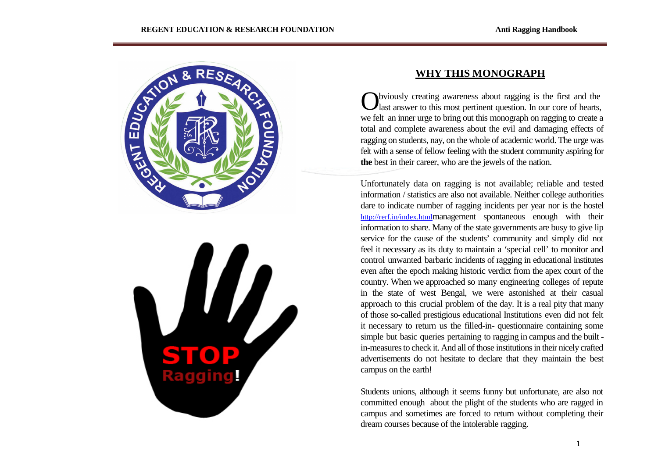

## **WHY THIS MONOGRAPH**

O total and complete awareness about the evil and damaging effects of bviously creating awareness about ragging is the first and the last answer to this most pertinent question. In our core of hearts, we felt an inner urge to bring out this monograph on ragging to create a ragging on students, nay, on the whole of academic world. The urge was felt with a sense of fellow feeling with the student community aspiring for **the** best in their career, who are the jewels of the nation.

Unfortunately data on ragging is not available; reliable and tested information / statistics are also not available. Neither college authorities dare to indicate number of ragging incidents per year nor is the hostel http://rerf.in/index.htmlmanagement spontaneous enough with their information to share. Many of the state governments are busy to give lip service for the cause of the students' community and simply did not feel it necessary as its duty to maintain a 'special cell' to monitor and control unwanted barbaric incidents of ragging in educational institutes even after the epoch making historic verdict from the apex court of the country. When we approached so many engineering colleges of repute in the state of west Bengal, we were astonished at their casual approach to this crucial problem of the day. It is a real pity that many of those so-called prestigious educational Institutions even did not felt it necessary to return us the filled-in- questionnaire containing some simple but basic queries pertaining to ragging in campus and the built in-measures to check it. And all of those institutions in their nicely crafted advertisements do not hesitate to declare that they maintain the best campus on the earth!

Students unions, although it seems funny but unfortunate, are also not committed enough about the plight of the students who are ragged in campus and sometimes are forced to return without completing their dream courses because of the intolerable ragging.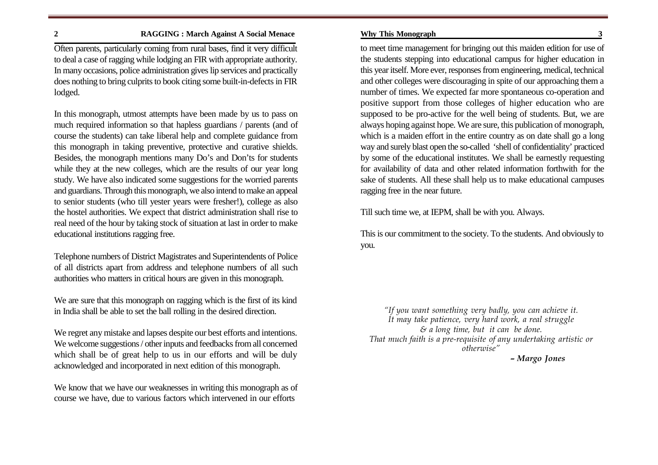Often parents, particularly coming from rural bases, find it very difficult to deal a case of ragging while lodging an FIR with appropriate authority. In many occasions, police administration gives lip services and practically does nothing to bring culprits to book citing some built-in-defects in FIR lodged.

In this monograph, utmost attempts have been made by us to pass on much required information so that hapless guardians / parents (and of course the students) can take liberal help and complete guidance from this monograph in taking preventive, protective and curative shields. Besides, the monograph mentions many Do's and Don'ts for students while they at the new colleges, which are the results of our year long study. We have also indicated some suggestions for the worried parents and guardians. Through this monograph, we also intend to make an appeal to senior students (who till yester years were fresher!), college as also the hostel authorities. We expect that district administration shall rise to real need of the hour by taking stock of situation at last in order to make educational institutions ragging free.

Telephone numbers of District Magistrates and Superintendents of Police of all districts apart from address and telephone numbers of all such authorities who matters in critical hours are given in this monograph.

We are sure that this monograph on ragging which is the first of its kind in India shall be able to set the ball rolling in the desired direction.

We regret any mistake and lapses despite our best efforts and intentions. We welcome suggestions / other inputs and feedbacks from all concerned which shall be of great help to us in our efforts and will be duly acknowledged and incorporated in next edition of this monograph.

We know that we have our weaknesses in writing this monograph as of course we have, due to various factors which intervened in our efforts

#### **Why This Monograph 3**

to meet time management for bringing out this maiden edition for use of the students stepping into educational campus for higher education in this year itself. More ever, responses from engineering, medical, technical and other colleges were discouraging in spite of our approaching them a number of times. We expected far more spontaneous co-operation and positive support from those colleges of higher education who are supposed to be pro-active for the well being of students. But, we are always hoping against hope. We are sure, this publication of monograph, which is a maiden effort in the entire country as on date shall go a long way and surely blast open the so-called 'shell of confidentiality' practiced by some of the educational institutes. We shall be earnestly requesting for availability of data and other related information forthwith for the sake of students. All these shall help us to make educational campuses ragging free in the near future.

Till such time we, at IEPM, shall be with you. Always.

This is our commitment to the society. To the students. And obviously to you.

*"If you want something very badly, you can achieve it. It may take patience, very hard work, a real struggle& a long time, but it can be done. That much faith is a pre-requisite of any undertaking artistic or otherwise"*

*– Margo Jones*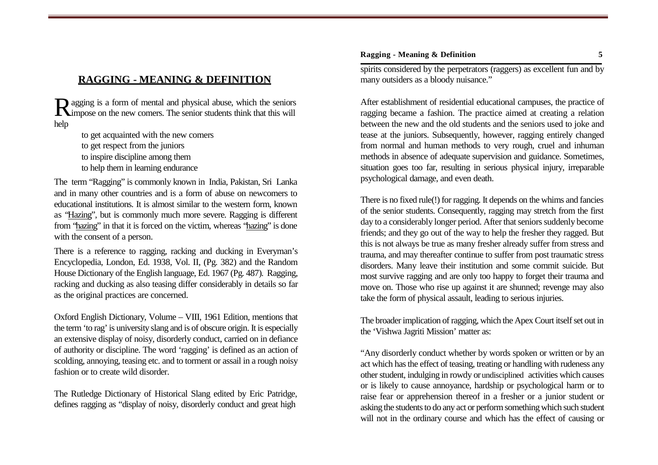## **RAGGING - MEANING & DEFINITION**

R**D** agging is a form of mental and physical abuse, which the seniors impose on the new comers. The senior students think that this will help

to get acquainted with the new comers

to get respect from the juniors

to inspire discipline among them

to help them in learning endurance

The term "Ragging" is commonly known in India, Pakistan, Sri Lanka and in many other countries and is a form of abuse on newcomers to educational institutions. It is almost similar to the western form, known as "Hazing", but is commonly much more severe. Ragging is different from "hazing" in that it is forced on the victim, whereas "hazing" is done with the consent of a person.

There is a reference to ragging, racking and ducking in Everyman's Encyclopedia, London, Ed. 1938, Vol. II, (Pg. 382) and the Random House Dictionary of the English language, Ed. 1967 (Pg. 487). Ragging, racking and ducking as also teasing differ considerably in details so far as the original practices are concerned.

Oxford English Dictionary, Volume – VIII, 1961 Edition, mentions that the term 'to rag' is university slang and is of obscure origin. It is especially an extensive display of noisy, disorderly conduct, carried on in defiance of authority or discipline. The word 'ragging' is defined as an action of scolding, annoying, teasing etc. and to torment or assail in a rough noisy fashion or to create wild disorder.

The Rutledge Dictionary of Historical Slang edited by Eric Patridge, defines ragging as "display of noisy, disorderly conduct and great high

**Ragging - Meaning & Definition 5**

spirits considered by the perpetrators (raggers) as excellent fun and by many outsiders as a bloody nuisance."

After establishment of residential educational campuses, the practice of ragging became a fashion. The practice aimed at creating a relation between the new and the old students and the seniors used to joke and tease at the juniors. Subsequently, however, ragging entirely changed from normal and human methods to very rough, cruel and inhuman methods in absence of adequate supervision and guidance. Sometimes, situation goes too far, resulting in serious physical injury, irreparable psychological damage, and even death.

There is no fixed rule(!) for ragging. It depends on the whims and fancies of the senior students. Consequently, ragging may stretch from the first day to a considerably longer period. After that seniors suddenly become friends; and they go out of the way to help the fresher they ragged. But this is not always be true as many fresher already suffer from stress and trauma, and may thereafter continue to suffer from post traumatic stress disorders. Many leave their institution and some commit suicide. But most survive ragging and are only too happy to forget their trauma and move on. Those who rise up against it are shunned; revenge may also take the form of physical assault, leading to serious injuries.

The broader implication of ragging, which the Apex Court itself set out in the 'Vishwa Jagriti Mission' matter as:

"Any disorderly conduct whether by words spoken or written or by an act which has the effect of teasing, treating or handling with rudeness any other student, indulging in rowdy or undisciplined activities which causes or is likely to cause annoyance, hardship or psychological harm or to raise fear or apprehension thereof in a fresher or a junior student or asking the students to do any act or perform something which such student will not in the ordinary course and which has the effect of causing or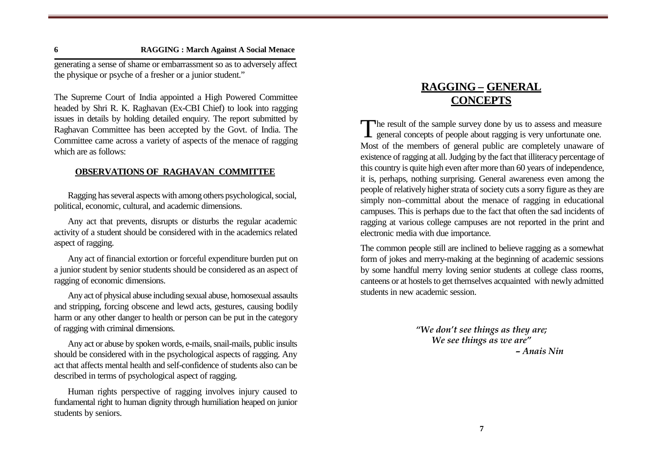generating a sense of shame or embarrassment so as to adversely affect the physique or psyche of a fresher or a junior student."

The Supreme Court of India appointed a High Powered Committee headed by Shri R. K. Raghavan (Ex-CBI Chief) to look into ragging issues in details by holding detailed enquiry. The report submitted by Raghavan Committee has been accepted by the Govt. of India. The Committee came across a variety of aspects of the menace of ragging which are as follows:

#### **OBSERVATIONS OF RAGHAVAN COMMITTEE**

Ragging has several aspects with among others psychological, social, political, economic, cultural, and academic dimensions.

Any act that prevents, disrupts or disturbs the regular academic activity of a student should be considered with in the academics related aspect of ragging.

Any act of financial extortion or forceful expenditure burden put on a junior student by senior students should be considered as an aspect of ragging of economic dimensions.

Any act of physical abuse including sexual abuse, homosexual assaults and stripping, forcing obscene and lewd acts, gestures, causing bodily harm or any other danger to health or person can be put in the category of ragging with criminal dimensions.

Any act or abuse by spoken words, e-mails, snail-mails, public insults should be considered with in the psychological aspects of ragging. Any act that affects mental health and self-confidence of students also can be described in terms of psychological aspect of ragging.

Human rights perspective of ragging involves injury caused to fundamental right to human dignity through humiliation heaped on junior students by seniors.

## **RAGGING – GENERALCONCEPTS**

The result of the sample survey done by us to assess and measure general concents of people about ragging is very unfortunate one. existence of ragging at all. Judging by the fact that illiteracy percentage of general concepts of people about ragging is very unfortunate one. Most of the members of general public are completely unaware of this country is quite high even after more than 60 years of independence, it is, perhaps, nothing surprising. General awareness even among the people of relatively higher strata of society cuts a sorry figure as they are simply non–committal about the menace of ragging in educational campuses. This is perhaps due to the fact that often the sad incidents of ragging at various college campuses are not reported in the print and electronic media with due importance.

The common people still are inclined to believe ragging as a somewhat form of jokes and merry-making at the beginning of academic sessions by some handful merry loving senior students at college class rooms, canteens or at hostels to get themselves acquainted with newly admitted students in new academic session.

> *"We don't see things as they are; We see things as we are"– Anais Nin*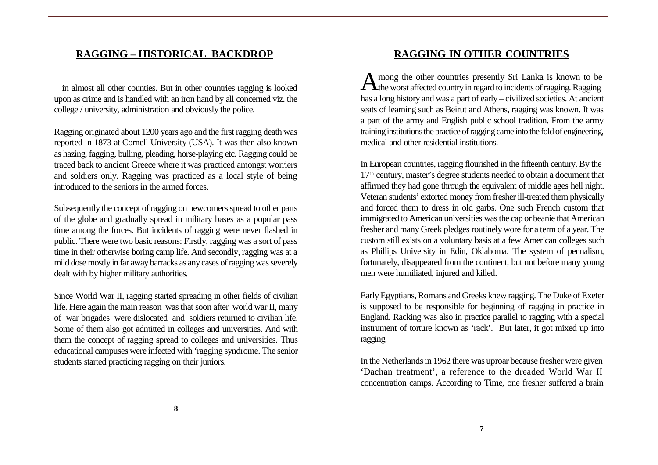## **RAGGING – HISTORICAL BACKDROP**

in almost all other counties. But in other countries ragging is looked upon as crime and is handled with an iron hand by all concerned viz. the college / university, administration and obviously the police.

Ragging originated about 1200 years ago and the first ragging death was reported in 1873 at Cornell University (USA). It was then also known as hazing, fagging, bulling, pleading, horse-playing etc. Ragging could be traced back to ancient Greece where it was practiced amongst worriers and soldiers only. Ragging was practiced as a local style of being introduced to the seniors in the armed forces.

Subsequently the concept of ragging on newcomers spread to other parts of the globe and gradually spread in military bases as a popular pass time among the forces. But incidents of ragging were never flashed in public. There were two basic reasons: Firstly, ragging was a sort of pass time in their otherwise boring camp life. And secondly, ragging was at a mild dose mostly in far away barracks as any cases of ragging was severely dealt with by higher military authorities.

Since World War II, ragging started spreading in other fields of civilian life. Here again the main reason was that soon after world war II, many of war brigades were dislocated and soldiers returned to civilian life. Some of them also got admitted in colleges and universities. And with them the concept of ragging spread to colleges and universities. Thus educational campuses were infected with 'ragging syndrome. The senior students started practicing ragging on their juniors.

## **RAGGING IN OTHER COUNTRIES**

 $\mathbf{A}$  seats of learning such as Beirut and Athens, ragging was known. It was mong the other countries presently Sri Lanka is known to be the worst affected country in regard to incidents of ragging. Ragging has a long history and was a part of early – civilized societies. At ancient a part of the army and English public school tradition. From the army training institutions the practice of ragging came into the fold of engineering, medical and other residential institutions.

In European countries, ragging flourished in the fifteenth century. By the 17<sup>th</sup> century, master's degree students needed to obtain a document that affirmed they had gone through the equivalent of middle ages hell night. Veteran students' extorted money from fresher ill-treated them physically and forced them to dress in old garbs. One such French custom that immigrated to American universities was the cap or beanie that American fresher and many Greek pledges routinely wore for a term of a year. The custom still exists on a voluntary basis at a few American colleges such as Phillips University in Edin, Oklahoma. The system of pennalism, fortunately, disappeared from the continent, but not before many young men were humiliated, injured and killed.

Early Egyptians, Romans and Greeks knew ragging. The Duke of Exeter is supposed to be responsible for beginning of ragging in practice in England. Racking was also in practice parallel to ragging with a special instrument of torture known as 'rack'. But later, it got mixed up into ragging.

In the Netherlands in 1962 there was uproar because fresher were given 'Dachan treatment', a reference to the dreaded World War II concentration camps. According to Time, one fresher suffered a brain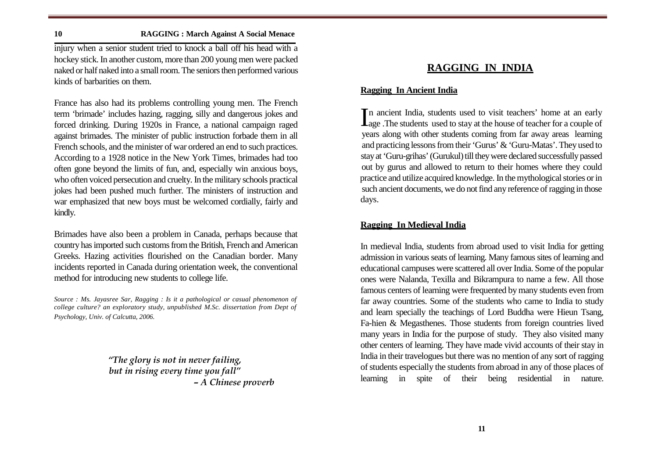injury when a senior student tried to knock a ball off his head with a hockey stick. In another custom, more than 200 young men were packed naked or half naked into a small room. The seniors then performed various kinds of barbarities on them.

France has also had its problems controlling young men. The French term 'brimade' includes hazing, ragging, silly and dangerous jokes and forced drinking. During 1920s in France, a national campaign raged against brimades. The minister of public instruction forbade them in all French schools, and the minister of war ordered an end to such practices. According to a 1928 notice in the New York Times, brimades had too often gone beyond the limits of fun, and, especially win anxious boys, who often voiced persecution and cruelty. In the military schools practical jokes had been pushed much further. The ministers of instruction and war emphasized that new boys must be welcomed cordially, fairly and kindly.

Brimades have also been a problem in Canada, perhaps because that country has imported such customs from the British, French and American Greeks. Hazing activities flourished on the Canadian border. Many incidents reported in Canada during orientation week, the conventional method for introducing new students to college life.

*Source : Ms. Jayasree Sar, Ragging : Is it a pathological or casual phenomenon of college culture? an exploratory study, unpublished M.Sc. dissertation from Dept ofPsychology, Univ. of Calcutta, 2006.*

> *"The glory is not in never failing, but in rising every time you fall"– A Chinese proverb*

## **RAGGING IN INDIA**

#### **Ragging In Ancient India**

In ancient India, students used to visit teachers' home at an early age. The students used to stay at the house of teacher for a couple of years along with other students coming from far away areas learning age .The students used to stay at the house of teacher for a couple of and practicing lessons from their 'Gurus' & 'Guru-Matas'. They used to stay at 'Guru-grihas' (Gurukul) till they were declared successfully passed out by gurus and allowed to return to their homes where they could practice and utilize acquired knowledge. In the mythological stories or in such ancient documents, we do not find any reference of ragging in those days.

#### **Ragging In Medieval India**

In medieval India, students from abroad used to visit India for getting admission in various seats of learning. Many famous sites of learning and educational campuses were scattered all over India. Some of the popular ones were Nalanda, Texilla and Bikrampura to name a few. All those famous centers of learning were frequented by many students even from far away countries. Some of the students who came to India to study and learn specially the teachings of Lord Buddha were Hieun Tsang, Fa-hien & Megasthenes. Those students from foreign countries lived many years in India for the purpose of study. They also visited many other centers of learning. They have made vivid accounts of their stay in India in their travelogues but there was no mention of any sort of ragging of students especially the students from abroad in any of those places of learning in spite of their being residential in nature.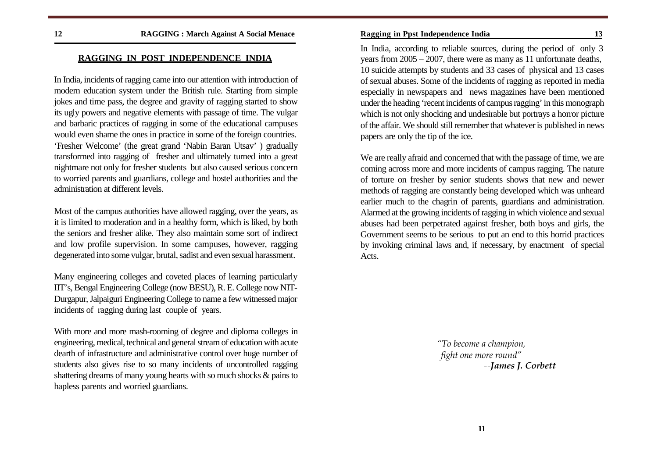#### **RAGGING IN POST INDEPENDENCE INDIA**

In India, incidents of ragging came into our attention with introduction of modern education system under the British rule. Starting from simple jokes and time pass, the degree and gravity of ragging started to show its ugly powers and negative elements with passage of time. The vulgar and barbaric practices of ragging in some of the educational campuses would even shame the ones in practice in some of the foreign countries. 'Fresher Welcome' (the great grand 'Nabin Baran Utsav' ) gradually transformed into ragging of fresher and ultimately turned into a great nightmare not only for fresher students but also caused serious concern to worried parents and guardians, college and hostel authorities and the administration at different levels.

Most of the campus authorities have allowed ragging, over the years, as it is limited to moderation and in a healthy form, which is liked, by both the seniors and fresher alike. They also maintain some sort of indirect and low profile supervision. In some campuses, however, ragging degenerated into some vulgar, brutal, sadist and even sexual harassment.

Many engineering colleges and coveted places of learning particularly IIT's, Bengal Engineering College (now BESU), R. E. College now NIT-Durgapur, Jalpaiguri Engineering College to name a few witnessed major incidents of ragging during last couple of years.

With more and more mash-rooming of degree and diploma colleges in engineering, medical, technical and general stream of education with acute dearth of infrastructure and administrative control over huge number of students also gives rise to so many incidents of uncontrolled ragging shattering dreams of many young hearts with so much shocks & pains to hapless parents and worried guardians.

#### **Ragging in Ppst Independence India 13**

In India, according to reliable sources, during the period of only 3 years from 2005 – 2007, there were as many as 11 unfortunate deaths, 10 suicide attempts by students and 33 cases of physical and 13 cases of sexual abuses. Some of the incidents of ragging as reported in media especially in newspapers and news magazines have been mentioned under the heading 'recent incidents of campus ragging' in this monograph which is not only shocking and undesirable but portrays a horror picture of the affair. We should still remember that whatever is published in news papers are only the tip of the ice.

We are really afraid and concerned that with the passage of time, we are coming across more and more incidents of campus ragging. The nature of torture on fresher by senior students shows that new and newer methods of ragging are constantly being developed which was unheard earlier much to the chagrin of parents, guardians and administration. Alarmed at the growing incidents of ragging in which violence and sexual abuses had been perpetrated against fresher, both boys and girls, the Government seems to be serious to put an end to this horrid practices by invoking criminal laws and, if necessary, by enactment of special Acts.

> *"To become a champion, fight one more round"*--*James J. Corbett*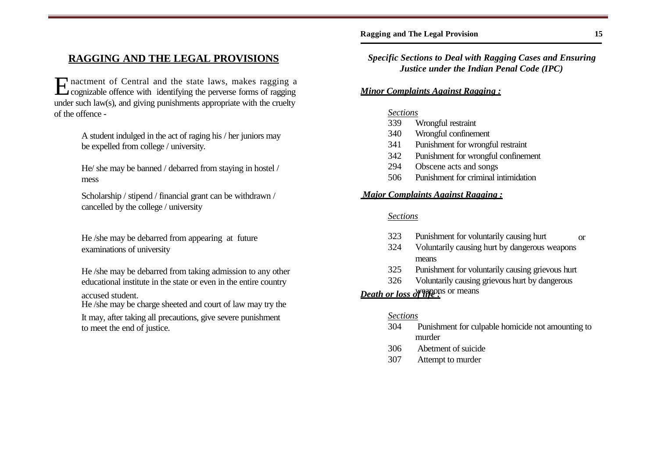## **RAGGING AND THE LEGAL PROVISIONS**

E of the offence nactment of Central and the state laws, makes ragging a cognizable offence with identifying the perverse forms of ragging under such law(s), and giving punishments appropriate with the cruelty

> A student indulged in the act of raging his / her juniors may be expelled from college / university.

He/ she may be banned / debarred from staying in hostel / 294 Obscene acts and songs<br>506 Punishment for criminal mess 506

Scholarship / stipend / financial grant can be withdrawn / cancelled by the college / university

He /she may be debarred from appearing at future examinations of university

He /she may be debarred fromeducational institute in the state or even in the entire country <sup>326</sup>accused student.

He /she may be charge sheeted and court of law may try the It may, after taking all precautions, give severe punishment to meet the end of justice.

#### **Ragging and The Legal Provision 15**

## *Specific Sections to Deal with Ragging Cases and EnsuringJustice under the Indian Penal Code (IPC)*

#### *Minor Complaints Against Ragging :*

#### *Sections*

- 339 Wrongful restraint
- Wrongful confinement 340
- 341 Punishment for wrongful restraint
- Punishment for wrongful confinement 342
- 
- Punishment for criminal intimidation

#### *Major Complaints Against Ragging :*

#### *Sections*

- 323 Punishment for voluntarily causing hurt or
- 324 Voluntarily causing hurt by dangerous weaponsmeans
- taking admission to any other 325 Punishment for voluntarily causing grievous hurt<br>326 Voluntarily causing grievous hurt by dangerous
	- Voluntarily causing grievous hurt by dangerous

#### *Death or loss of the set of means*

#### *Sections*

- 304 Punishment for culpable homicide not amounting to murder
- 306 Abetment of suicide
- 307 Attempt to murder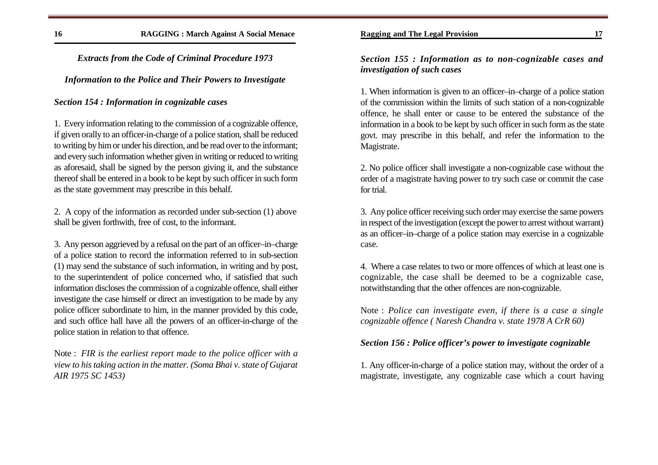#### *Extracts from the Code of Criminal Procedure 1973*

#### *Information to the Police and Their Powers to Investigate*

#### *Section 154 : Information in cognizable cases*

1. Every information relating to the commission of a cognizable offence, if given orally to an officer-in-charge of a police station, shall be reduced to writing by him or under his direction, and be read over to the informant; and every such information whether given in writing or reduced to writing as aforesaid, shall be signed by the person giving it, and the substance thereof shall be entered in a book to be kept by such officer in such form as the state government may prescribe in this behalf.

2. A copy of the information as recorded under sub-section (1) above shall be given forthwith, free of cost, to the informant.

3. Any person aggrieved by a refusal on the part of an officer–in–charge of a police station to record the information referred to in sub-section (1) may send the substance of such information, in writing and by post, to the superintendent of police concerned who, if satisfied that such information discloses the commission of a cognizable offence, shall either investigate the case himself or direct an investigation to be made by any police officer subordinate to him, in the manner provided by this code, and such office hall have all the powers of an officer-in-charge of the police station in relation to that offence.

Note : *FIR is the earliest report made to the police officer with a view to his taking action in the matter. (Soma Bhai v. state of Gujarat AIR 1975 SC 1453)*

*Section 155 : Information as to non-cognizable cases and investigation of such cases*

1. When information is given to an officer–in–charge of a police station of the commission within the limits of such station of a non-cognizable offence, he shall enter or cause to be entered the substance of the information in a book to be kept by such officer in such form as the state govt. may prescribe in this behalf, and refer the information to the Magistrate.

2. No police officer shall investigate a non-cognizable case without the order of a magistrate having power to try such case or commit the case for trial.

3. Any police officer receiving such order may exercise the same powers in respect of the investigation (except the power to arrest without warrant) as an officer–in–charge of a police station may exercise in a cognizable case.

4. Where a case relates to two or more offences of which at least one is cognizable, the case shall be deemed to be a cognizable case, notwithstanding that the other offences are non-cognizable.

Note : *Police can investigate even, if there is a case a single cognizable offence ( Naresh Chandra v. state 1978 A CrR 60)*

#### *Section 156 : Police officer's power to investigate cognizable*

1. Any officer-in-charge of a police station may, without the order of a magistrate, investigate, any cognizable case which a court having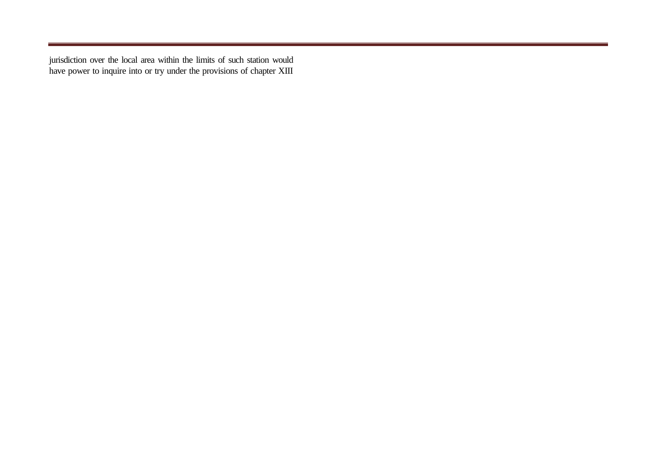jurisdiction over the local area within the limits of such station would have power to inquire into or try under the provisions of chapter XIII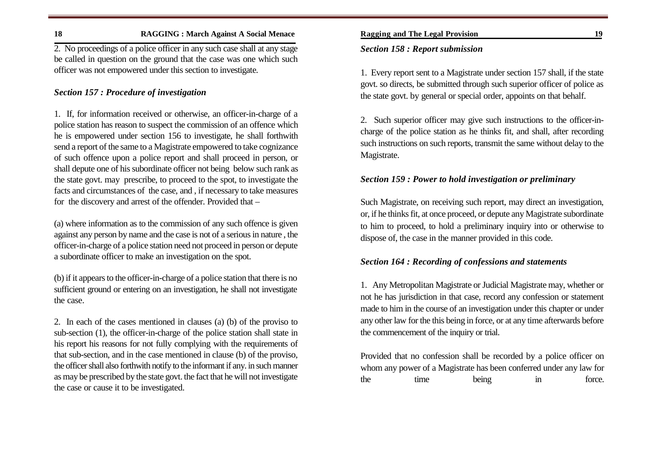2. No proceedings of a police officer in any such case shall at any stage be called in question on the ground that the case was one which such officer was not empowered under this section to investigate.

#### *Section 157 : Procedure of investigation*

1. If, for information received or otherwise, an officer-in-charge of a police station has reason to suspect the commission of an offence which he is empowered under section 156 to investigate, he shall forthwith send a report of the same to a Magistrate empowered to take cognizance of such offence upon a police report and shall proceed in person, or shall depute one of his subordinate officer not being below such rank as the state govt. may prescribe, to proceed to the spot, to investigate the facts and circumstances of the case, and , if necessary to take measures for the discovery and arrest of the offender. Provided that –

(a) where information as to the commission of any such offence is given against any person by name and the case is not of a serious in nature , the officer-in-charge of a police station need not proceed in person or depute a subordinate officer to make an investigation on the spot.

(b) if it appears to the officer-in-charge of a police station that there is no sufficient ground or entering on an investigation, he shall not investigate the case.

2. In each of the cases mentioned in clauses (a) (b) of the proviso to sub-section (1), the officer-in-charge of the police station shall state in his report his reasons for not fully complying with the requirements of that sub-section, and in the case mentioned in clause (b) of the proviso, the officer shall also forthwith notify to the informant if any. in such manner as may be prescribed by the state govt. the fact that he will not investigate the case or cause it to be investigated.

#### *Section 158 : Report submission*

1. Every report sent to a Magistrate under section 157 shall, if the state govt. so directs, be submitted through such superior officer of police as the state govt. by general or special order, appoints on that behalf.

2. Such superior officer may give such instructions to the officer-incharge of the police station as he thinks fit, and shall, after recording such instructions on such reports, transmit the same without delay to the Magistrate.

#### *Section 159 : Power to hold investigation or preliminary*

Such Magistrate, on receiving such report, may direct an investigation, or, if he thinks fit, at once proceed, or depute any Magistrate subordinate to him to proceed, to hold a preliminary inquiry into or otherwise to dispose of, the case in the manner provided in this code.

#### *Section 164 : Recording of confessions and statements*

1. Any Metropolitan Magistrate or Judicial Magistrate may, whether or not he has jurisdiction in that case, record any confession or statement made to him in the course of an investigation under this chapter or under any other law for the this being in force, or at any time afterwards before the commencement of the inquiry or trial.

Provided that no confession shall be recorded by a police officer on whom any power of a Magistrate has been conferred under any law for the time being in force.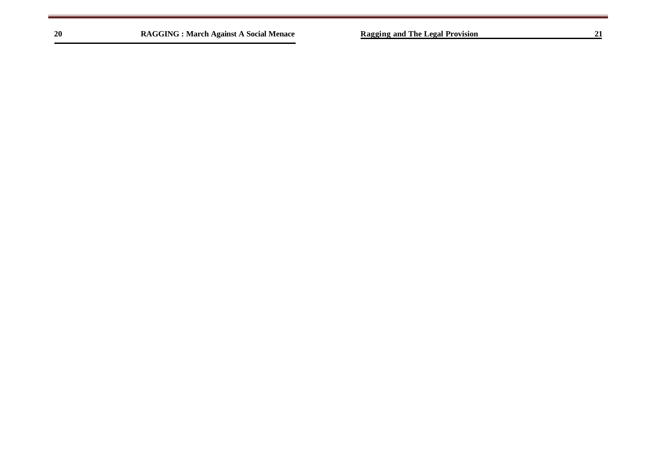**Ragging and The Legal Provision** 21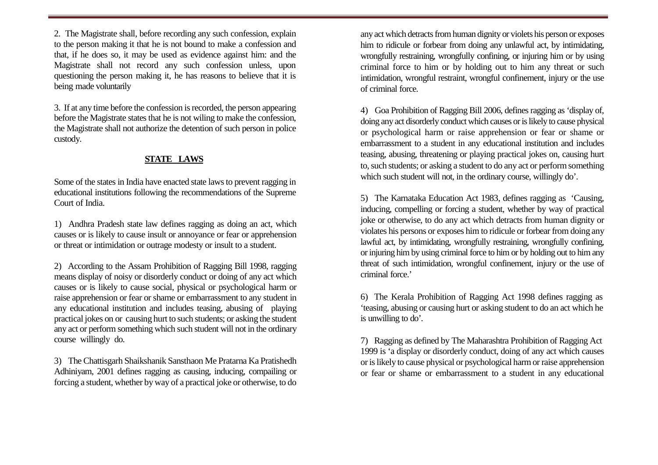2. The Magistrate shall, before recording any such confession, explain to the person making it that he is not bound to make a confession and that, if he does so, it may be used as evidence against him: and the Magistrate shall not record any such confession unless, upon questioning the person making it, he has reasons to believe that it is being made voluntarily

3. If at any time before the confession is recorded, the person appearing before the Magistrate states that he is not wiling to make the confession, the Magistrate shall not authorize the detention of such person in police custody.

#### **STATE LAWS**

Some of the states in India have enacted state laws to prevent ragging in educational institutions following the recommendations of the Supreme Court of India.

1) Andhra Pradesh state law defines ragging as doing an act, which causes or is likely to cause insult or annoyance or fear or apprehension or threat or intimidation or outrage modesty or insult to a student.

2) According to the Assam Prohibition of Ragging Bill 1998, ragging means display of noisy or disorderly conduct or doing of any act which causes or is likely to cause social, physical or psychological harm or raise apprehension or fear or shame or embarrassment to any student in any educational institution and includes teasing, abusing of playing practical jokes on or causing hurt to such students; or asking the student any act or perform something which such student will not in the ordinary course willingly do.

3) The Chattisgarh Shaikshanik Sansthaon Me Pratarna Ka Pratishedh Adhiniyam, 2001 defines ragging as causing, inducing, compailing or forcing a student, whether by way of a practical joke or otherwise, to do any act which detracts from human dignity or violets his person or exposes him to ridicule or forbear from doing any unlawful act, by intimidating, wrongfully restraining, wrongfully confining, or injuring him or by using criminal force to him or by holding out to him any threat or such intimidation, wrongful restraint, wrongful confinement, injury or the use of criminal force.

4) Goa Prohibition of Ragging Bill 2006, defines ragging as 'display of, doing any act disorderly conduct which causes or is likely to cause physical or psychological harm or raise apprehension or fear or shame or embarrassment to a student in any educational institution and includes teasing, abusing, threatening or playing practical jokes on, causing hurt to, such students; or asking a student to do any act or perform something which such student will not, in the ordinary course, willingly do'.

5) The Karnataka Education Act 1983, defines ragging as 'Causing, inducing, compelling or forcing a student, whether by way of practical joke or otherwise, to do any act which detracts from human dignity or violates his persons or exposes him to ridicule or forbear from doing any lawful act, by intimidating, wrongfully restraining, wrongfully confining, or injuring him by using criminal force to him or by holding out to him any threat of such intimidation, wrongful confinement, injury or the use of criminal force.'

6) The Kerala Prohibition of Ragging Act 1998 defines ragging as 'teasing, abusing or causing hurt or asking student to do an act which he is unwilling to do'.

7) Ragging as defined by The Maharashtra Prohibition of Ragging Act 1999 is 'a display or disorderly conduct, doing of any act which causes or is likely to cause physical or psychological harm or raise apprehension or fear or shame or embarrassment to a student in any educational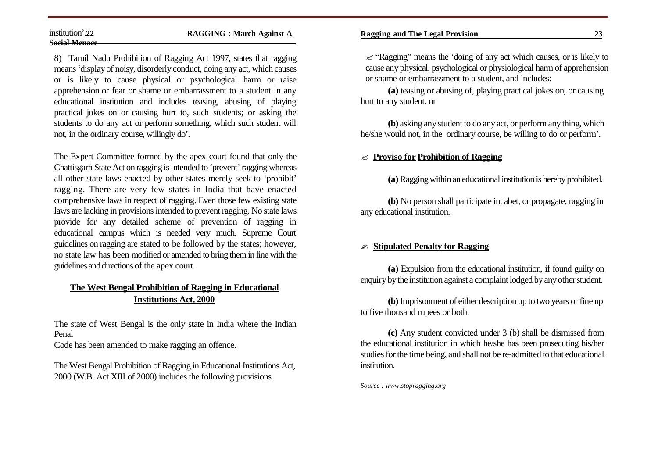# **Social Menac**

#### institution'.**22 RAGGING : March Against A**

8) Tamil Nadu Prohibition of Ragging Act 1997, states that ragging means 'display of noisy, disorderly conduct, doing any act, which causes or is likely to cause physical or psychological harm or raise apprehension or fear or shame or embarrassment to a student in any educational institution and includes teasing, abusing of playing practical jokes on or causing hurt to, such students; or asking the students to do any act or perform something, which such student will not, in the ordinary course, willingly do'.

The Expert Committee formed by the apex court found that only the Chattisgarh State Act on ragging is intended to 'prevent' ragging whereas all other state laws enacted by other states merely seek to 'prohibit' ragging. There are very few states in India that have enacted comprehensive laws in respect of ragging. Even those few existing state laws are lacking in provisions intended to prevent ragging. No state laws provide for any detailed scheme of prevention of ragging in educational campus which is needed very much. Supreme Court guidelines on ragging are stated to be followed by the states; however, no state law has been modified or amended to bring them in line with the guidelines and directions of the apex court.

## **The West Bengal Prohibition of Ragging in EducationalInstitutions Act, 2000**

The state of West Bengal is the only state in India where the Indian Penal

Code has been amended to make ragging an offence.

The West Bengal Prohibition of Ragging in Educational Institutions Act, 2000 (W.B. Act XIII of 2000) includes the following provisions

### $\mathscr{\mathscr{L}}$  "Ragging" means the 'doing of any act which causes, or is likely to cause any physical, psychological or physiological harm of apprehension or shame or embarrassment to a student, and includes:

**(a)** teasing or abusing of, playing practical jokes on, or causing hurt to any student. or

**(b)** asking any student to do any act, or perform any thing, which he/she would not, in the ordinary course, be willing to do or perform'.

## **Proviso for Prohibition of Ragging**

**(a)** Ragging within an educational institution is hereby prohibited.

**(b)** No person shall participate in, abet, or propagate, ragging in any educational institution.

#### $\mathscr{\mathscr{L}}$ **Stipulated Penalty for Ragging**

**(a)** Expulsion from the educational institution, if found guilty on enquiry by the institution against a complaint lodged by any other student.

**(b)** Imprisonment of either description up to two years or fine up to five thousand rupees or both.

**(c)** Any student convicted under 3 (b) shall be dismissed from the educational institution in which he/she has been prosecuting his/her studies for the time being, and shall not be re-admitted to that educational institution.

*Source : www.stopragging.org*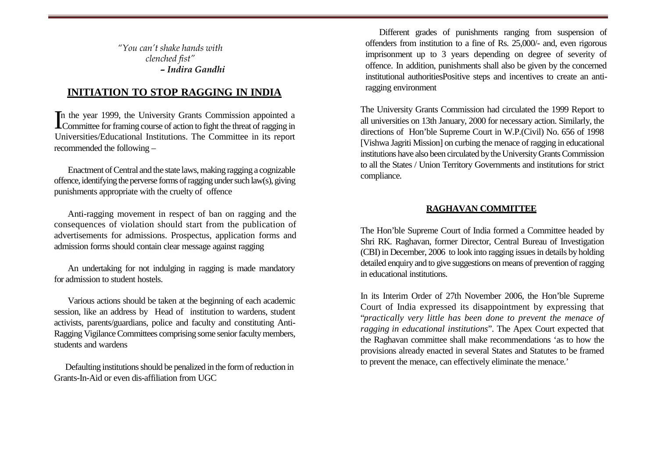*"You can't shake hands with clenched fist"– Indira Gandhi* 

## **INITIATION TO STOP RAGGING IN INDIA**

In the year 1999, the University Grants Commission appointed a Committee for framing course of action to fight the threat of ragging in Universities/Educational Institutions. The Committee in its report recommended the following –

Enactment of Central and the state laws, making ragging a cognizable offence, identifying the perverse forms of ragging under such law(s), giving punishments appropriate with the cruelty of offence

Anti-ragging movement in respect of ban on ragging and the consequences of violation should start from the publication of advertisements for admissions. Prospectus, application forms and admission forms should contain clear message against ragging

An undertaking for not indulging in ragging is made mandatory for admission to student hostels.

Various actions should be taken at the beginning of each academic session, like an address by Head of institution to wardens, student activists, parents/guardians, police and faculty and constituting Anti-Ragging Vigilance Committees comprising some senior faculty members, students and wardens

Defaulting institutions should be penalized in the form of reduction in Grants-In-Aid or even dis-affiliation from UGC

Different grades of punishments ranging from suspension of offenders from institution to a fine of Rs. 25,000/- and, even rigorous imprisonment up to 3 years depending on degree of severity of offence. In addition, punishments shall also be given by the concerned institutional authoritiesPositive steps and incentives to create an antiragging environment

The University Grants Commission had circulated the 1999 Report to all universities on 13th January, 2000 for necessary action. Similarly, the directions of Hon'ble Supreme Court in W.P.(Civil) No. 656 of 1998 [Vishwa Jagriti Mission] on curbing the menace of ragging in educational institutions have also been circulated by the University Grants Commission to all the States / Union Territory Governments and institutions for strict compliance.

#### **RAGHAVAN COMMITTEE**

The Hon'ble Supreme Court of India formed a Committee headed by Shri RK. Raghavan, former Director, Central Bureau of Investigation (CBI) in December, 2006 to look into ragging issues in details by holding detailed enquiry and to give suggestions on means of prevention of ragging in educational institutions.

In its Interim Order of 27th November 2006, the Hon'ble Supreme Court of India expressed its disappointment by expressing that "*practically very little has been done to prevent the menace of ragging in educational institutions*". The Apex Court expected that the Raghavan committee shall make recommendations 'as to how the provisions already enacted in several States and Statutes to be framed to prevent the menace, can effectively eliminate the menace.'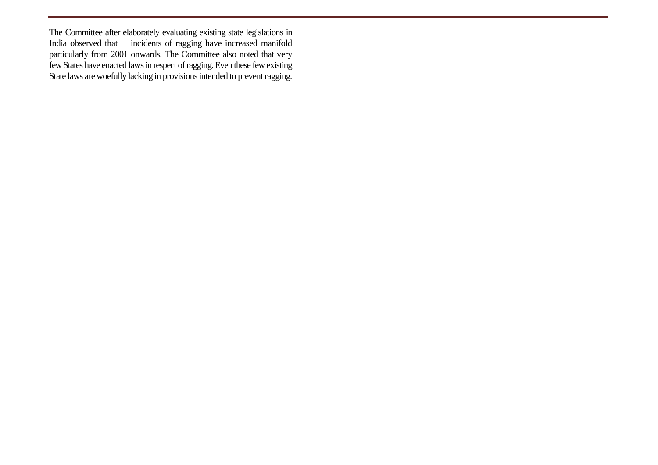The Committee after elaborately evaluating existing state legislations in India observed that incidents of ragging have increased manifold particularly from 2001 onwards. The Committee also noted that very few States have enacted laws in respect of ragging. Even these few existing State laws are woefully lacking in provisions intended to prevent ragging.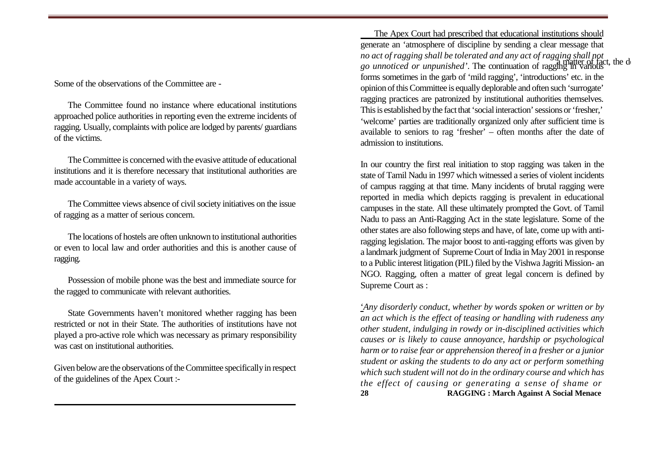Some of the observations of the Committee are -

The Committee found no instance where educational institutions approached police authorities in reporting even the extreme incidents of ragging. Usually, complaints with police are lodged by parents/ guardians of the victims.

The Committee is concerned with the evasive attitude of educational institutions and it is therefore necessary that institutional authorities are made accountable in a variety of ways.

The Committee views absence of civil society initiatives on the issue of ragging as a matter of serious concern.

The locations of hostels are often unknown to institutional authorities or even to local law and order authorities and this is another cause of ragging.

Possession of mobile phone was the best and immediate source for the ragged to communicate with relevant authorities.

State Governments haven't monitored whether ragging has been restricted or not in their State. The authorities of institutions have not played a pro-active role which was necessary as primary responsibility was cast on institutional authorities.

Given below are the observations of the Committee specifically in respect of the guidelines of the Apex Court :-

a matter of fact, the d The Apex Court had prescribed that educational institutions should generate an 'atmosphere of discipline by sending a clear message that *no act of ragging shall be tolerated and any act of ragging shall not go unnoticed or unpunished'*. The continuation of ragging in various forms sometimes in the garb of 'mild ragging', 'introductions' etc. in the opinion of this Committee is equally deplorable and often such 'surrogate' ragging practices are patronized by institutional authorities themselves. This is established by the fact that 'social interaction' sessions or 'fresher,' 'welcome' parties are traditionally organized only after sufficient time is available to seniors to rag 'fresher' – often months after the date of admission to institutions.

In our country the first real initiation to stop ragging was taken in the state of Tamil Nadu in 1997 which witnessed a series of violent incidents of campus ragging at that time. Many incidents of brutal ragging were reported in media which depicts ragging is prevalent in educational campuses in the state. All these ultimately prompted the Govt. of Tamil Nadu to pass an Anti-Ragging Act in the state legislature. Some of the other states are also following steps and have, of late, come up with antiragging legislation. The major boost to anti-ragging efforts was given by a landmark judgment of Supreme Court of India in May 2001 in response to a Public interest litigation (PIL) filed by the Vishwa Jagriti Mission- an NGO. Ragging, often a matter of great legal concern is defined by Supreme Court as :

'*Any disorderly conduct, whether by words spoken or written or by an act which is the effect of teasing or handling with rudeness any other student, indulging in rowdy or in-disciplined activities which causes or is likely to cause annoyance, hardship or psychological harm or to raise fear or apprehension thereof in a fresher or a junior student or asking the students to do any act or perform something which such student will not do in the ordinary course and which has the effect of causing or generating a sense of shame or* **28 RAGGING : March Against A Social Menace**